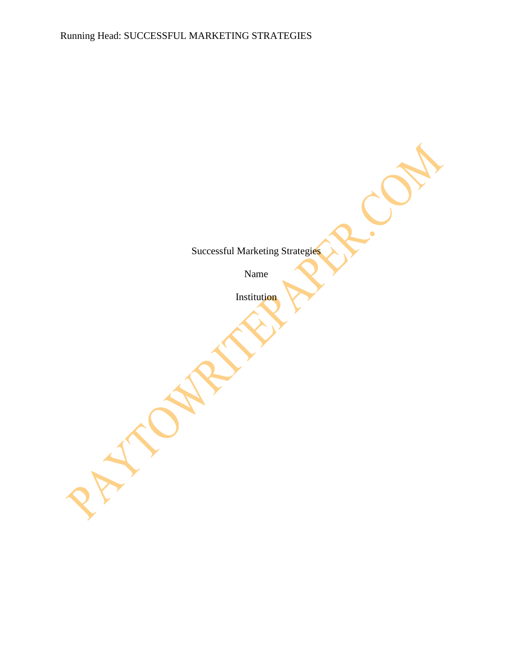Successful Marketing Strategies

Name

Institution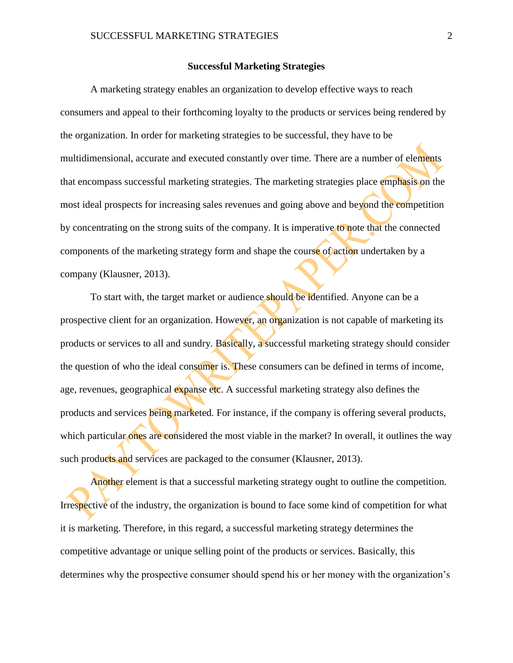## **Successful Marketing Strategies**

A marketing strategy enables an organization to develop effective ways to reach consumers and appeal to their forthcoming loyalty to the products or services being rendered by the organization. In order for marketing strategies to be successful, they have to be multidimensional, accurate and executed constantly over time. There are a number of elements that encompass successful marketing strategies. The marketing strategies place emphasis on the most ideal prospects for increasing sales revenues and going above and beyond the competition by concentrating on the strong suits of the company. It is imperative to note that the connected components of the marketing strategy form and shape the course of action undertaken by a company (Klausner, 2013).

To start with, the target market or audience should be identified. Anyone can be a prospective client for an organization. However, an organization is not capable of marketing its products or services to all and sundry. Basically, a successful marketing strategy should consider the question of who the ideal consumer is. These consumers can be defined in terms of income, age, revenues, geographical expanse etc. A successful marketing strategy also defines the products and services being marketed. For instance, if the company is offering several products, which particular ones are considered the most viable in the market? In overall, it outlines the way such products and services are packaged to the consumer (Klausner, 2013).

Another element is that a successful marketing strategy ought to outline the competition. Irrespective of the industry, the organization is bound to face some kind of competition for what it is marketing. Therefore, in this regard, a successful marketing strategy determines the competitive advantage or unique selling point of the products or services. Basically, this determines why the prospective consumer should spend his or her money with the organization's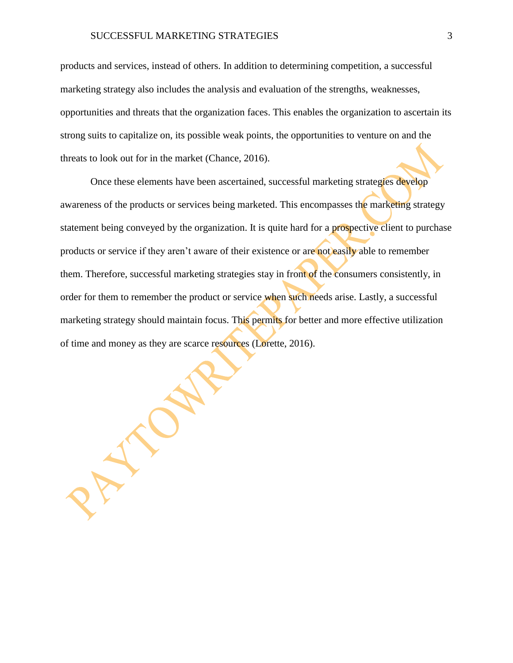## SUCCESSFUL MARKETING STRATEGIES 3

products and services, instead of others. In addition to determining competition, a successful marketing strategy also includes the analysis and evaluation of the strengths, weaknesses, opportunities and threats that the organization faces. This enables the organization to ascertain its strong suits to capitalize on, its possible weak points, the opportunities to venture on and the threats to look out for in the market (Chance, 2016).

Once these elements have been ascertained, successful marketing strategies develop awareness of the products or services being marketed. This encompasses the marketing strategy statement being conveyed by the organization. It is quite hard for a prospective client to purchase products or service if they aren't aware of their existence or are not easily able to remember them. Therefore, successful marketing strategies stay in front of the consumers consistently, in order for them to remember the product or service when such needs arise. Lastly, a successful marketing strategy should maintain focus. This permits for better and more effective utilization of time and money as they are scarce resources (Lorette, 2016).